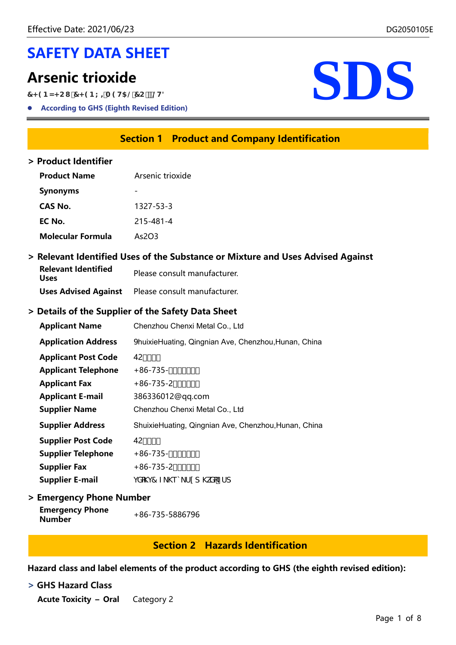# SAFETY DATA SHEET

7<9BN<Cl 7<9BL=A9H5@7C'2@H8

According to GHS (Eighth Revised Edition)



# Section 1 Product and Company Identification

#### > Product Identifier

| <b>Product Name</b>      | Arsenic trioxide |  |  |
|--------------------------|------------------|--|--|
| <b>Synonyms</b>          |                  |  |  |
| CAS No.                  | 1327-53-3        |  |  |
| EC No.                   | 215-481-4        |  |  |
| <b>Molecular Formula</b> | As2O3            |  |  |

### > Relevant Identified Uses of the Substance or Mixture and Uses Advised Against

| <b>Relevant Identified</b><br>Uses | Please consult manufacturer.                             |
|------------------------------------|----------------------------------------------------------|
|                                    | <b>Uses Advised Against</b> Please consult manufacturer. |

### > Details of the Supplier of the Safety Data Sheet

| <b>Applicant Name</b>      | Chenzhou Chenxi Metal Co., Ltd                       |
|----------------------------|------------------------------------------------------|
| <b>Application Address</b> | JhuixieHuating, Qingnian Ave, Chenzhou, Hunan, China |
| <b>Applicant Post Code</b> | $42***$                                              |
| <b>Applicant Telephone</b> | $+86-735$ -, //-. O-                                 |
| <b>Applicant Fax</b>       | $+86-735-2)$ - $,$ $+$                               |
| <b>Applicant E-mail</b>    | 386336012@qq.com                                     |
| <b>Supplier Name</b>       | Chenzhou Chenxi Metal Co., Ltd                       |
| <b>Supplier Address</b>    | ShuixieHuating, Qingnian Ave, Chenzhou, Hunan, China |
| <b>Supplier Post Code</b>  | $42***$                                              |
| <b>Supplier Telephone</b>  | $+86-735$ -, //-. O-                                 |
| <b>Supplier Fax</b>        | $+86-735-2)$ - $^{\prime}$ *                         |
| <b>Supplier E-mail</b>     | jXdj7 Z_\eq_fld\kXc%Zfd                              |

> Emergency Phone Number

| <b>Emergency Phone</b> | +86-735-5886796 |
|------------------------|-----------------|
| Number                 |                 |

### Section 2 Hazards Identification

Hazard class and label elements of the product according to GHS (the eighth revised edition):

#### > GHS Hazard Class

Acute Toxicity – Oral Category 2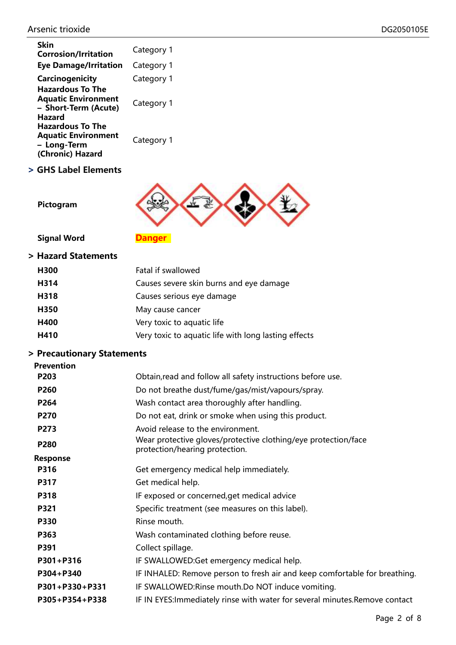| Skin<br><b>Corrosion/Irritation</b>                                                            | Category 1 |
|------------------------------------------------------------------------------------------------|------------|
| <b>Eye Damage/Irritation</b>                                                                   | Category 1 |
| Carcinogenicity                                                                                | Category 1 |
| <b>Hazardous To The</b><br><b>Aquatic Environment</b><br>- Short-Term (Acute)<br><b>Hazard</b> | Category 1 |
| <b>Hazardous To The</b><br><b>Aquatic Environment</b><br>- Long-Term<br>(Chronic) Hazard       | Category 1 |

> GHS Label Elements



Pictogram

Signal Word **Danger** 

#### > Hazard Statements

| H <sub>300</sub> | Fatal if swallowed                                   |
|------------------|------------------------------------------------------|
| H314             | Causes severe skin burns and eye damage              |
| H318             | Causes serious eye damage                            |
| H350             | May cause cancer                                     |
| H400             | Very toxic to aquatic life                           |
| H410             | Very toxic to aquatic life with long lasting effects |
|                  |                                                      |

# > Precautionary Statements

| <b>Prevention</b> |                                                                                                  |
|-------------------|--------------------------------------------------------------------------------------------------|
| P203              | Obtain, read and follow all safety instructions before use.                                      |
| P260              | Do not breathe dust/fume/gas/mist/vapours/spray.                                                 |
| P264              | Wash contact area thoroughly after handling.                                                     |
| P270              | Do not eat, drink or smoke when using this product.                                              |
| P273              | Avoid release to the environment.                                                                |
| <b>P280</b>       | Wear protective gloves/protective clothing/eye protection/face<br>protection/hearing protection. |
| <b>Response</b>   |                                                                                                  |
| P316              | Get emergency medical help immediately.                                                          |
| P317              | Get medical help.                                                                                |
| P318              | IF exposed or concerned, get medical advice                                                      |
| P321              | Specific treatment (see measures on this label).                                                 |
| P330              | Rinse mouth.                                                                                     |
| P363              | Wash contaminated clothing before reuse.                                                         |
| P391              | Collect spillage.                                                                                |
| P301+P316         | IF SWALLOWED: Get emergency medical help.                                                        |
| P304+P340         | IF INHALED: Remove person to fresh air and keep comfortable for breathing.                       |
| P301+P330+P331    | IF SWALLOWED: Rinse mouth. Do NOT induce vomiting.                                               |
| P305+P354+P338    | IF IN EYES: Immediately rinse with water for several minutes. Remove contact                     |
|                   |                                                                                                  |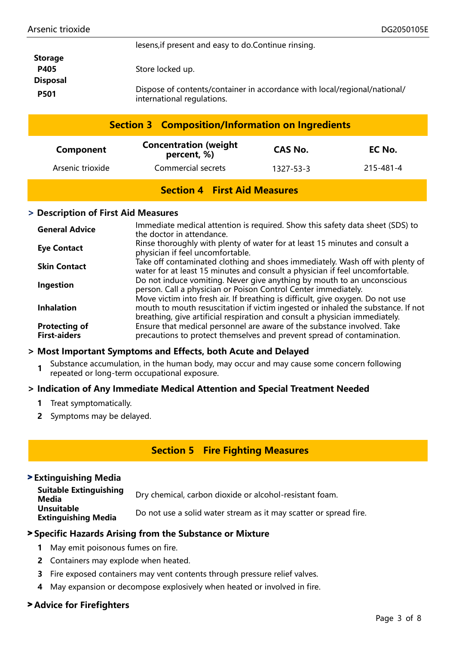| <b>Storage</b>  |                                                                                                         |
|-----------------|---------------------------------------------------------------------------------------------------------|
| <b>P405</b>     | Store locked up.                                                                                        |
| <b>Disposal</b> |                                                                                                         |
| <b>P501</b>     | Dispose of contents/container in accordance with local/regional/national/<br>international regulations. |

lesens,if present and easy to do.Continue rinsing.

|                  |                                              | <b>Section 3 Composition/Information on Ingredients</b> |           |
|------------------|----------------------------------------------|---------------------------------------------------------|-----------|
| Component        | <b>Concentration (weight)</b><br>percent, %) | <b>CAS No.</b>                                          | EC No.    |
| Arsenic trioxide | Commercial secrets                           | 1327-53-3                                               | 215-481-4 |

# Section 4 First Aid Measures

#### > Description of First Aid Measures

| <b>General Advice</b>                       | Immediate medical attention is required. Show this safety data sheet (SDS) to<br>the doctor in attendance.                                                                                                                                        |
|---------------------------------------------|---------------------------------------------------------------------------------------------------------------------------------------------------------------------------------------------------------------------------------------------------|
| <b>Eye Contact</b>                          | Rinse thoroughly with plenty of water for at least 15 minutes and consult a<br>physician if feel uncomfortable.                                                                                                                                   |
| <b>Skin Contact</b>                         | Take off contaminated clothing and shoes immediately. Wash off with plenty of<br>water for at least 15 minutes and consult a physician if feel uncomfortable.                                                                                     |
| Ingestion                                   | Do not induce vomiting. Never give anything by mouth to an unconscious<br>person. Call a physician or Poison Control Center immediately.                                                                                                          |
| <b>Inhalation</b>                           | Move victim into fresh air. If breathing is difficult, give oxygen. Do not use<br>mouth to mouth resuscitation if victim ingested or inhaled the substance. If not<br>breathing, give artificial respiration and consult a physician immediately. |
| <b>Protecting of</b><br><b>First-aiders</b> | Ensure that medical personnel are aware of the substance involved. Take<br>precautions to protect themselves and prevent spread of contamination.                                                                                                 |

#### > Most Important Symptoms and Effects, both Acute and Delayed

1 Substance accumulation, in the human body, may occur and may cause some concern following repeated or long-term occupational exposure.

#### > Indication of Any Immediate Medical Attention and Special Treatment Needed

- 1 Treat symptomatically.
- 2 Symptoms may be delayed.

### Section 5 Fire Fighting Measures

#### > Extinguishing Media

Suitable Extinguishing Suitable Extinguishing Dry chemical, carbon dioxide or alcohol-resistant foam.<br>Media Unsuitable **Extinguishing Media** Do not use a solid water stream as it may scatter or spread fire.

#### > Specific Hazards Arising from the Substance or Mixture

- 1 May emit poisonous fumes on fire.
- 2 Containers may explode when heated.
- 3 Fire exposed containers may vent contents through pressure relief valves.
- 4 May expansion or decompose explosively when heated or involved in fire.

### > Advice for Firefighters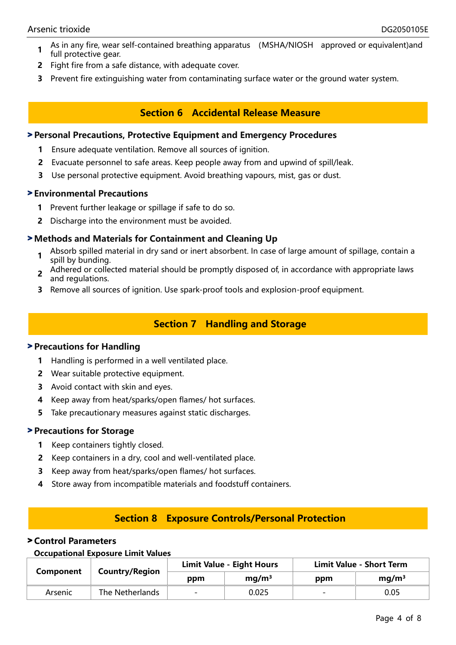- 1 As in any fire, wear self-contained breathing apparatus (MSHA/NIOSH approved or equivalent)and full protective gear.
- 2 Fight fire from a safe distance, with adequate cover.
- 3 Prevent fire extinguishing water from contaminating surface water or the ground water system.

# Section 6 Accidental Release Measure

#### > Personal Precautions, Protective Equipment and Emergency Procedures

- 1 Ensure adequate ventilation. Remove all sources of ignition.
- 2 Evacuate personnel to safe areas. Keep people away from and upwind of spill/leak.
- 3 Use personal protective equipment. Avoid breathing vapours, mist, gas or dust.

#### > Environmental Precautions

- 1 Prevent further leakage or spillage if safe to do so.
- 2 Discharge into the environment must be avoided.

#### > Methods and Materials for Containment and Cleaning Up

- 1 Absorb spilled material in dry sand or inert absorbent. In case of large amount of spillage, contain a spill by bunding.
- 2 Adhered or collected material should be promptly disposed of, in accordance with appropriate laws and regulations.
- 3 Remove all sources of ignition. Use spark-proof tools and explosion-proof equipment.

# Section 7 Handling and Storage

#### > Precautions for Handling

- 1 Handling is performed in a well ventilated place.
- 2 Wear suitable protective equipment.
- 3 Avoid contact with skin and eyes.
- 4 Keep away from heat/sparks/open flames/ hot surfaces.
- 5 Take precautionary measures against static discharges.

#### > Precautions for Storage

- 1 Keep containers tightly closed.
- 2 Keep containers in a dry, cool and well-ventilated place.
- 3 Keep away from heat/sparks/open flames/ hot surfaces.
- 4 Store away from incompatible materials and foodstuff containers.

### Section 8 Exposure Controls/Personal Protection

#### > Control Parameters

#### Occupational Exposure Limit Values

| <b>Component</b> | <b>Country/Region</b> | <b>Limit Value - Eight Hours</b> |                   | <b>Limit Value - Short Term</b> |                   |
|------------------|-----------------------|----------------------------------|-------------------|---------------------------------|-------------------|
|                  |                       | ppm                              | mq/m <sup>3</sup> | ppm                             | mq/m <sup>3</sup> |
| Arsenic          | The Netherlands       | $\overline{\phantom{0}}$         | 0.025             |                                 | 0.05              |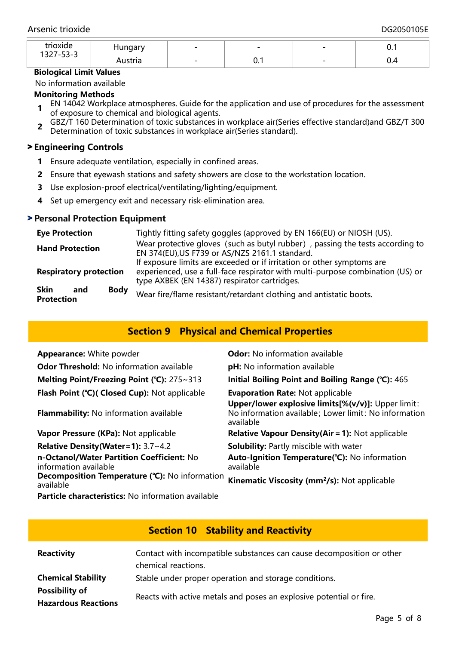| <i>trioxide</i><br>$ -$<br>$\overline{\phantom{a}}$ |     | $\overline{\phantom{a}}$ | $\overline{\phantom{a}}$ | $\overline{\phantom{0}}$ | .    |
|-----------------------------------------------------|-----|--------------------------|--------------------------|--------------------------|------|
| - 1261<br>- - -                                     | ula | $\overline{\phantom{0}}$ | $\mathsf{U}$ . I         | $\sim$                   | ◡.─⊤ |

#### Biological Limit Values

No information available

#### Monitoring Methods

- 1 EN 14042 Workplace atmospheres. Guide for the application and use of procedures for the assessment of exposure to chemical and biological agents.
- 2 GBZ/T 160 Determination of toxic substances in workplace air(Series effective standard)and GBZ/T 300 Determination of toxic substances in workplace air(Series standard).

#### > Engineering Controls

- 1 Ensure adequate ventilation, especially in confined areas.
- 2 Ensure that eyewash stations and safety showers are close to the workstation location.
- 3 Use explosion-proof electrical/ventilating/lighting/equipment.
- 4 Set up emergency exit and necessary risk-elimination area.

#### > Personal Protection Equipment

| <b>Eye Protection</b>                                  | Tightly fitting safety goggles (approved by EN 166(EU) or NIOSH (US).                                                                                                                                    |  |  |  |  |  |
|--------------------------------------------------------|----------------------------------------------------------------------------------------------------------------------------------------------------------------------------------------------------------|--|--|--|--|--|
| <b>Hand Protection</b>                                 | Wear protective gloves (such as butyl rubber), passing the tests according to<br>EN 374(EU), US F739 or AS/NZS 2161.1 standard.                                                                          |  |  |  |  |  |
| <b>Respiratory protection</b>                          | If exposure limits are exceeded or if irritation or other symptoms are<br>experienced, use a full-face respirator with multi-purpose combination (US) or<br>type AXBEK (EN 14387) respirator cartridges. |  |  |  |  |  |
| <b>Body</b><br><b>Skin</b><br>and<br><b>Protection</b> | Wear fire/flame resistant/retardant clothing and antistatic boots.                                                                                                                                       |  |  |  |  |  |

# Section 9 Physical and Chemical Properties

| <b>Appearance: White powder</b>                                    | <b>Odor:</b> No information available                                                                                    |
|--------------------------------------------------------------------|--------------------------------------------------------------------------------------------------------------------------|
| <b>Odor Threshold: No information available</b>                    | pH: No information available                                                                                             |
| Melting Point/Freezing Point ( $°C$ ): 275~313                     | Initial Boiling Point and Boiling Range (°C): 465                                                                        |
| Flash Point (°C)( Closed Cup): Not applicable                      | <b>Evaporation Rate: Not applicable</b>                                                                                  |
| <b>Flammability:</b> No information available                      | Upper/lower explosive limits[%(v/v)]: Upper limit:<br>No information available; Lower limit: No information<br>available |
| Vapor Pressure (KPa): Not applicable                               | <b>Relative Vapour Density(Air = 1): Not applicable</b>                                                                  |
| Relative Density (Water=1): 3.7~4.2                                | Solubility: Partly miscible with water                                                                                   |
| n-Octanol/Water Partition Coefficient: No<br>information available | Auto-Ignition Temperature(°C): No information<br>available                                                               |
| Decomposition Temperature (°C): No information<br>available        | Kinematic Viscosity (mm <sup>2</sup> /s): Not applicable                                                                 |
| <b>Particle characteristics:</b> No information available          |                                                                                                                          |

# Section 10 Stability and Reactivity

| <b>Reactivity</b>                                   | Contact with incompatible substances can cause decomposition or other<br>chemical reactions. |
|-----------------------------------------------------|----------------------------------------------------------------------------------------------|
| <b>Chemical Stability</b>                           | Stable under proper operation and storage conditions.                                        |
| <b>Possibility of</b><br><b>Hazardous Reactions</b> | Reacts with active metals and poses an explosive potential or fire.                          |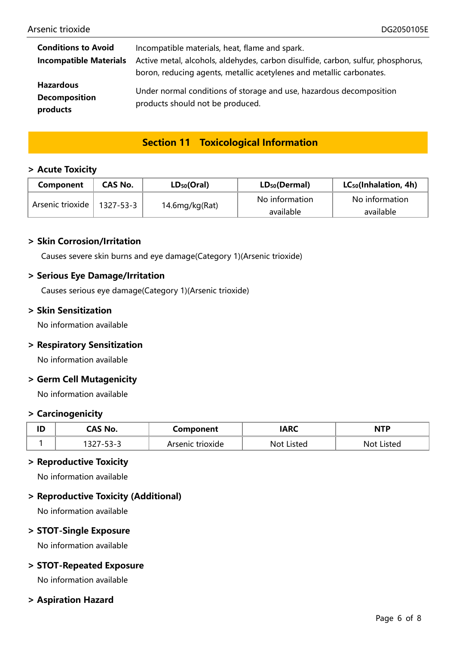| <b>Conditions to Avoid</b>                           | Incompatible materials, heat, flame and spark.                                                                                                           |
|------------------------------------------------------|----------------------------------------------------------------------------------------------------------------------------------------------------------|
| <b>Incompatible Materials</b>                        | Active metal, alcohols, aldehydes, carbon disulfide, carbon, sulfur, phosphorus,<br>boron, reducing agents, metallic acetylenes and metallic carbonates. |
| <b>Hazardous</b><br><b>Decomposition</b><br>products | Under normal conditions of storage and use, hazardous decomposition<br>products should not be produced.                                                  |

# Section 11 Toxicological Information

#### > Acute Toxicity

| Component        | CAS No.   | $LD_{50}(Oral)$ | $LD_{50}(Dermal)$ | $LC_{50}$ (Inhalation, 4h) |
|------------------|-----------|-----------------|-------------------|----------------------------|
| Arsenic trioxide |           | No information  | No information    |                            |
|                  | 1327-53-3 | 14.6mg/kg(Rat)  | available         | available                  |

#### > Skin Corrosion/Irritation

Causes severe skin burns and eye damage(Category 1)(Arsenic trioxide)

#### > Serious Eye Damage/Irritation

Causes serious eye damage(Category 1)(Arsenic trioxide)

#### > Skin Sensitization

No information available

#### > Respiratory Sensitization

No information available

#### > Germ Cell Mutagenicity

No information available

#### > Carcinogenicity

| ID | CAS No.       | Component        | <b>ARC</b> | <b>NTP</b>    |
|----|---------------|------------------|------------|---------------|
|    | ココープ<br>، ے د | Arsenic trioxide | Not Listed | Listed<br>Not |

#### > Reproductive Toxicity

No information available

#### > Reproductive Toxicity (Additional)

No information available

#### > STOT-Single Exposure

No information available

#### > STOT-Repeated Exposure

No information available

#### > Aspiration Hazard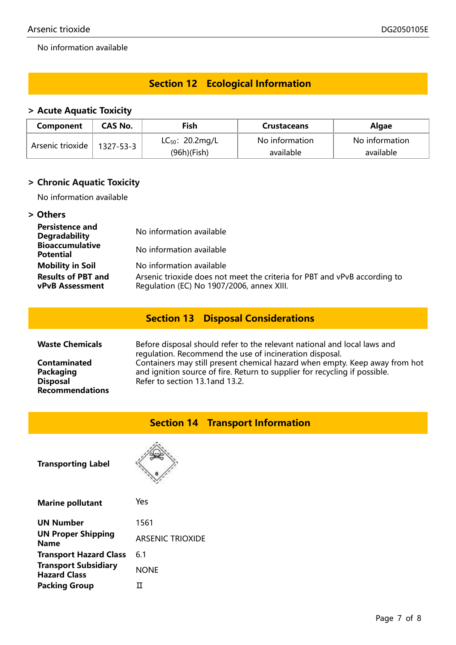No information available

# Section 12 Ecological Information

# > Acute Aquatic Toxicity

| Component        | CAS No.   | Fish                 | <b>Crustaceans</b> | <b>Algae</b>   |  |
|------------------|-----------|----------------------|--------------------|----------------|--|
| Arsenic trioxide | 1327-53-3 | $LC_{50}$ : 20.2mg/L | No information     | No information |  |
|                  |           | $(96h)$ (Fish)       | available          | available      |  |

# > Chronic Aquatic Toxicity

No information available

## > Others

| <b>Persistence and</b><br><b>Degradability</b>      | No information available                                                                                               |
|-----------------------------------------------------|------------------------------------------------------------------------------------------------------------------------|
| <b>Bioaccumulative</b><br><b>Potential</b>          | No information available                                                                                               |
| <b>Mobility in Soil</b>                             | No information available                                                                                               |
| <b>Results of PBT and</b><br><b>vPvB</b> Assessment | Arsenic trioxide does not meet the criteria for PBT and vPvB according to<br>Regulation (EC) No 1907/2006, annex XIII. |

# Section 13 Disposal Considerations

| <b>Waste Chemicals</b>                                                 | Before disposal should refer to the relevant national and local laws and<br>regulation. Recommend the use of incineration disposal.                                                          |
|------------------------------------------------------------------------|----------------------------------------------------------------------------------------------------------------------------------------------------------------------------------------------|
| Contaminated<br>Packaging<br><b>Disposal</b><br><b>Recommendations</b> | Containers may still present chemical hazard when empty. Keep away from hot<br>and ignition source of fire. Return to supplier for recycling if possible.<br>Refer to section 13.1 and 13.2. |

# Section 14 Transport Information

Transporting Label



| <b>Marine pollutant</b>                            | Yes                     |
|----------------------------------------------------|-------------------------|
| <b>UN Number</b>                                   | 1561                    |
| <b>UN Proper Shipping</b><br><b>Name</b>           | <b>ARSENIC TRIOXIDE</b> |
| <b>Transport Hazard Class</b>                      | 6.1                     |
| <b>Transport Subsidiary</b><br><b>Hazard Class</b> | <b>NONE</b>             |
| <b>Packing Group</b>                               |                         |